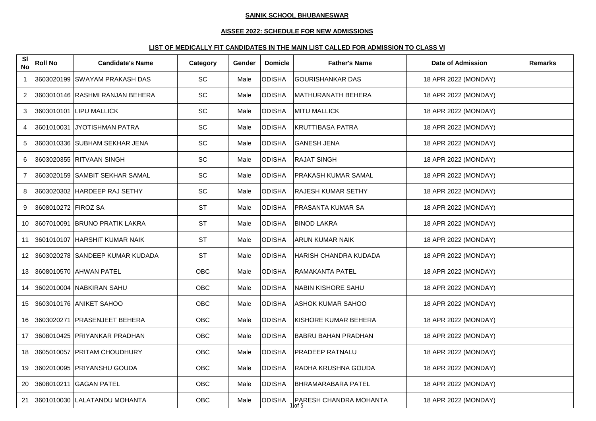# **AISSEE 2022: SCHEDULE FOR NEW ADMISSIONS**

| SI<br><b>No</b> | <b>Roll No</b>      | <b>Candidate's Name</b>         | Category  | Gender | <b>Domicle</b> | <b>Father's Name</b>                       | <b>Date of Admission</b> | <b>Remarks</b> |
|-----------------|---------------------|---------------------------------|-----------|--------|----------------|--------------------------------------------|--------------------------|----------------|
| $\mathbf{1}$    |                     | 3603020199 ISWAYAM PRAKASH DAS  | <b>SC</b> | Male   | <b>ODISHA</b>  | <b>GOURISHANKAR DAS</b>                    | 18 APR 2022 (MONDAY)     |                |
| 2               |                     | 3603010146 RASHMI RANJAN BEHERA | SC        | Male   | <b>ODISHA</b>  | MATHURANATH BEHERA                         | 18 APR 2022 (MONDAY)     |                |
| 3               |                     | 3603010101 LIPU MALLICK         | <b>SC</b> | Male   | <b>ODISHA</b>  | <b>MITU MALLICK</b>                        | 18 APR 2022 (MONDAY)     |                |
| 4               |                     | 3601010031 JYOTISHMAN PATRA     | SC        | Male   | ODISHA         | <b>KRUTTIBASA PATRA</b>                    | 18 APR 2022 (MONDAY)     |                |
| 5               |                     | 3603010336 SUBHAM SEKHAR JENA   | <b>SC</b> | Male   | <b>ODISHA</b>  | <b>GANESH JENA</b>                         | 18 APR 2022 (MONDAY)     |                |
| 6               |                     | 3603020355 RITVAAN SINGH        | SC        | Male   | <b>ODISHA</b>  | <b>RAJAT SINGH</b>                         | 18 APR 2022 (MONDAY)     |                |
| $\overline{7}$  |                     | 3603020159 SAMBIT SEKHAR SAMAL  | <b>SC</b> | Male   | <b>ODISHA</b>  | <b>PRAKASH KUMAR SAMAL</b>                 | 18 APR 2022 (MONDAY)     |                |
| 8               |                     | 3603020302 HARDEEP RAJ SETHY    | SC        | Male   | <b>ODISHA</b>  | <b>RAJESH KUMAR SETHY</b>                  | 18 APR 2022 (MONDAY)     |                |
| 9               | 3608010272 FIROZ SA |                                 | <b>ST</b> | Male   | <b>ODISHA</b>  | PRASANTA KUMAR SA                          | 18 APR 2022 (MONDAY)     |                |
| 10              |                     | 3607010091 BRUNO PRATIK LAKRA   | <b>ST</b> | Male   | <b>ODISHA</b>  | <b>BINOD LAKRA</b>                         | 18 APR 2022 (MONDAY)     |                |
| 11              |                     | 3601010107 HARSHIT KUMAR NAIK   | <b>ST</b> | Male   | <b>ODISHA</b>  | <b>ARUN KUMAR NAIK</b>                     | 18 APR 2022 (MONDAY)     |                |
| 12              |                     | 3603020278 SANDEEP KUMAR KUDADA | <b>ST</b> | Male   | <b>ODISHA</b>  | HARISH CHANDRA KUDADA                      | 18 APR 2022 (MONDAY)     |                |
| 13              |                     | 3608010570 AHWAN PATEL          | OBC       | Male   | <b>ODISHA</b>  | RAMAKANTA PATEL                            | 18 APR 2022 (MONDAY)     |                |
| 14              |                     | 3602010004 NABKIRAN SAHU        | OBC       | Male   | <b>ODISHA</b>  | NABIN KISHORE SAHU                         | 18 APR 2022 (MONDAY)     |                |
| 15              |                     | 3603010176 ANIKET SAHOO         | OBC       | Male   | <b>ODISHA</b>  | <b>ASHOK KUMAR SAHOO</b>                   | 18 APR 2022 (MONDAY)     |                |
| 16              |                     | 3603020271 PRASENJEET BEHERA    | OBC       | Male   | <b>ODISHA</b>  | KISHORE KUMAR BEHERA                       | 18 APR 2022 (MONDAY)     |                |
| 17              |                     | 3608010425 PRIYANKAR PRADHAN    | OBC       | Male   | <b>ODISHA</b>  | <b>BABRU BAHAN PRADHAN</b>                 | 18 APR 2022 (MONDAY)     |                |
| 18              |                     | 3605010057 PRITAM CHOUDHURY     | OBC       | Male   | <b>ODISHA</b>  | <b>PRADEEP RATNALU</b>                     | 18 APR 2022 (MONDAY)     |                |
| 19              |                     | 3602010095 PRIYANSHU GOUDA      | OBC       | Male   | <b>ODISHA</b>  | RADHA KRUSHNA GOUDA                        | 18 APR 2022 (MONDAY)     |                |
| 20              |                     | 3608010211 GAGAN PATEL          | OBC       | Male   | <b>ODISHA</b>  | <b>BHRAMARABARA PATEL</b>                  | 18 APR 2022 (MONDAY)     |                |
| 21              |                     | 3601010030 LALATANDU MOHANTA    | OBC       | Male   | <b>ODISHA</b>  | PARESH CHANDRA MOHANTA<br>$\overline{of}5$ | 18 APR 2022 (MONDAY)     |                |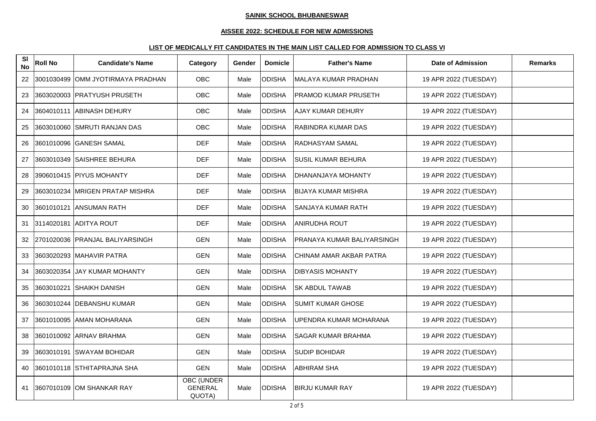# **AISSEE 2022: SCHEDULE FOR NEW ADMISSIONS**

| SI<br><b>No</b> | <b>Roll No</b> | <b>Candidate's Name</b>           | Category                                      | Gender | <b>Domicle</b> | <b>Father's Name</b>        | Date of Admission     | <b>Remarks</b> |
|-----------------|----------------|-----------------------------------|-----------------------------------------------|--------|----------------|-----------------------------|-----------------------|----------------|
| 22              |                | 3001030499 OMM JYOTIRMAYA PRADHAN | OBC                                           | Male   | <b>ODISHA</b>  | MALAYA KUMAR PRADHAN        | 19 APR 2022 (TUESDAY) |                |
| 23              |                | 3603020003 PRATYUSH PRUSETH       | OBC                                           | Male   | <b>ODISHA</b>  | <b>PRAMOD KUMAR PRUSETH</b> | 19 APR 2022 (TUESDAY) |                |
| 24              |                | 3604010111 ABINASH DEHURY         | OBC                                           | Male   | <b>ODISHA</b>  | <b>AJAY KUMAR DEHURY</b>    | 19 APR 2022 (TUESDAY) |                |
| 25              |                | 3603010060 SMRUTI RANJAN DAS      | OBC                                           | Male   | <b>ODISHA</b>  | <b>RABINDRA KUMAR DAS</b>   | 19 APR 2022 (TUESDAY) |                |
| 26              |                | 3601010096 GANESH SAMAL           | <b>DEF</b>                                    | Male   | <b>ODISHA</b>  | RADHASYAM SAMAL             | 19 APR 2022 (TUESDAY) |                |
| 27              |                | 3603010349 SAISHREE BEHURA        | <b>DEF</b>                                    | Male   | <b>ODISHA</b>  | <b>SUSIL KUMAR BEHURA</b>   | 19 APR 2022 (TUESDAY) |                |
| 28              |                | 3906010415 PIYUS MOHANTY          | <b>DEF</b>                                    | Male   | <b>ODISHA</b>  | DHANANJAYA MOHANTY          | 19 APR 2022 (TUESDAY) |                |
| 29              |                | 3603010234 MRIGEN PRATAP MISHRA   | <b>DEF</b>                                    | Male   | <b>ODISHA</b>  | <b>BIJAYA KUMAR MISHRA</b>  | 19 APR 2022 (TUESDAY) |                |
| 30              |                | 3601010121 IANSUMAN RATH          | <b>DEF</b>                                    | Male   | <b>ODISHA</b>  | SANJAYA KUMAR RATH          | 19 APR 2022 (TUESDAY) |                |
| 31              |                | 3114020181 ADITYA ROUT            | <b>DEF</b>                                    | Male   | <b>ODISHA</b>  | <b>ANIRUDHA ROUT</b>        | 19 APR 2022 (TUESDAY) |                |
| 32              |                | 2701020036 PRANJAL BALIYARSINGH   | <b>GEN</b>                                    | Male   | <b>ODISHA</b>  | PRANAYA KUMAR BALIYARSINGH  | 19 APR 2022 (TUESDAY) |                |
| 33              |                | 3603020293 MAHAVIR PATRA          | <b>GEN</b>                                    | Male   | <b>ODISHA</b>  | CHINAM AMAR AKBAR PATRA     | 19 APR 2022 (TUESDAY) |                |
| 34              |                | 3603020354 JJAY KUMAR MOHANTY     | <b>GEN</b>                                    | Male   | <b>ODISHA</b>  | <b>DIBYASIS MOHANTY</b>     | 19 APR 2022 (TUESDAY) |                |
| 35              |                | 3603010221 SHAIKH DANISH          | <b>GEN</b>                                    | Male   | <b>ODISHA</b>  | <b>SK ABDUL TAWAB</b>       | 19 APR 2022 (TUESDAY) |                |
| 36              |                | 3603010244 DEBANSHU KUMAR         | <b>GEN</b>                                    | Male   | <b>ODISHA</b>  | <b>SUMIT KUMAR GHOSE</b>    | 19 APR 2022 (TUESDAY) |                |
| 37              |                | 3601010095 AMAN MOHARANA          | <b>GEN</b>                                    | Male   | <b>ODISHA</b>  | UPENDRA KUMAR MOHARANA      | 19 APR 2022 (TUESDAY) |                |
| 38              |                | 3601010092 ARNAV BRAHMA           | <b>GEN</b>                                    | Male   | <b>ODISHA</b>  | <b>SAGAR KUMAR BRAHMA</b>   | 19 APR 2022 (TUESDAY) |                |
| 39              |                | 3603010191 SWAYAM BOHIDAR         | <b>GEN</b>                                    | Male   | <b>ODISHA</b>  | <b>SUDIP BOHIDAR</b>        | 19 APR 2022 (TUESDAY) |                |
| 40              |                | 3601010118 STHITAPRAJNA SHA       | <b>GEN</b>                                    | Male   | <b>ODISHA</b>  | <b>ABHIRAM SHA</b>          | 19 APR 2022 (TUESDAY) |                |
| 41              |                | 3607010109 OM SHANKAR RAY         | <b>OBC (UNDER</b><br><b>GENERAL</b><br>QUOTA) | Male   | <b>ODISHA</b>  | <b>BIRJU KUMAR RAY</b>      | 19 APR 2022 (TUESDAY) |                |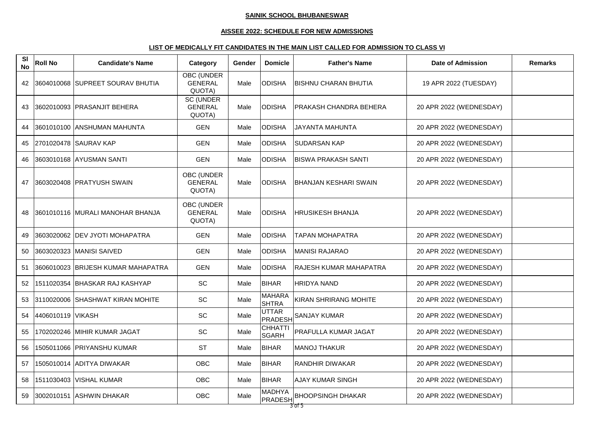#### **AISSEE 2022: SCHEDULE FOR NEW ADMISSIONS**

| <b>SI</b><br><b>No</b> | <b>Roll No</b>    | <b>Candidate's Name</b>             | Category                                      | Gender | <b>Domicle</b>                 | <b>Father's Name</b>         | <b>Date of Admission</b> | <b>Remarks</b> |
|------------------------|-------------------|-------------------------------------|-----------------------------------------------|--------|--------------------------------|------------------------------|--------------------------|----------------|
| 42                     |                   | 3604010068 SUPREET SOURAV BHUTIA    | <b>OBC (UNDER</b><br><b>GENERAL</b><br>QUOTA) | Male   | IODISHA                        | BISHNU CHARAN BHUTIA         | 19 APR 2022 (TUESDAY)    |                |
| 43                     |                   | 3602010093 PRASANJIT BEHERA         | <b>SC (UNDER</b><br><b>GENERAL</b><br>QUOTA)  | Male   | <b>ODISHA</b>                  | PRAKASH CHANDRA BEHERA       | 20 APR 2022 (WEDNESDAY)  |                |
| 44                     |                   | 3601010100 ANSHUMAN MAHUNTA         | <b>GEN</b>                                    | Male   | <b>ODISHA</b>                  | <b>JAYANTA MAHUNTA</b>       | 20 APR 2022 (WEDNESDAY)  |                |
| 45                     |                   | 2701020478 SAURAV KAP               | <b>GEN</b>                                    | Male   | <b>ODISHA</b>                  | <b>SUDARSAN KAP</b>          | 20 APR 2022 (WEDNESDAY)  |                |
| 46                     |                   | 3603010168 AYUSMAN SANTI            | <b>GEN</b>                                    | Male   | <b>ODISHA</b>                  | <b>BISWA PRAKASH SANTI</b>   | 20 APR 2022 (WEDNESDAY)  |                |
| 47                     |                   | 3603020408 PRATYUSH SWAIN           | <b>OBC (UNDER</b><br><b>GENERAL</b><br>QUOTA) | Male   | <b>ODISHA</b>                  | <b>BHANJAN KESHARI SWAIN</b> | 20 APR 2022 (WEDNESDAY)  |                |
| 48                     |                   | 13601010116   MURALI MANOHAR BHANJA | OBC (UNDER<br><b>GENERAL</b><br>QUOTA)        | Male   | <b>ODISHA</b>                  | HRUSIKESH BHANJA             | 20 APR 2022 (WEDNESDAY)  |                |
| 49                     |                   | 3603020062 DEV JYOTI MOHAPATRA      | <b>GEN</b>                                    | Male   | <b>ODISHA</b>                  | TAPAN MOHAPATRA              | 20 APR 2022 (WEDNESDAY)  |                |
| 50                     |                   | 3603020323 MANISI SAIVED            | <b>GEN</b>                                    | Male   | <b>ODISHA</b>                  | MANISI RAJARAO               | 20 APR 2022 (WEDNESDAY)  |                |
| 51                     |                   | 3606010023 BRIJESH KUMAR MAHAPATRA  | <b>GEN</b>                                    | Male   | <b>ODISHA</b>                  | RAJESH KUMAR MAHAPATRA       | 20 APR 2022 (WEDNESDAY)  |                |
| 52                     |                   | 1511020354  BHASKAR RAJ KASHYAP     | <b>SC</b>                                     | Male   | <b>BIHAR</b>                   | HRIDYA NAND                  | 20 APR 2022 (WEDNESDAY)  |                |
| 53                     |                   | 3110020006 SHASHWAT KIRAN MOHITE    | SC                                            | Male   | <b>MAHARA</b><br><b>SHTRA</b>  | KIRAN SHRIRANG MOHITE        | 20 APR 2022 (WEDNESDAY)  |                |
| 54                     | 4406010119 VIKASH |                                     | SC                                            | Male   | <b>UTTAR</b><br>PRADESH        | <b>SANJAY KUMAR</b>          | 20 APR 2022 (WEDNESDAY)  |                |
| 55                     |                   | 1702020246  MIHIR KUMAR JAGAT       | SC                                            | Male   | <b>CHHATTI</b><br><b>SGARH</b> | PRAFULLA KUMAR JAGAT         | 20 APR 2022 (WEDNESDAY)  |                |
| 56                     |                   | 1505011066 PRIYANSHU KUMAR          | <b>ST</b>                                     | Male   | <b>BIHAR</b>                   | <b>MANOJ THAKUR</b>          | 20 APR 2022 (WEDNESDAY)  |                |
| 57                     |                   | 1505010014 ADITYA DIWAKAR           | <b>OBC</b>                                    | Male   | <b>BIHAR</b>                   | RANDHIR DIWAKAR              | 20 APR 2022 (WEDNESDAY)  |                |
| 58                     |                   | 1511030403 VISHAL KUMAR             | <b>OBC</b>                                    | Male   | <b>BIHAR</b>                   | <b>AJAY KUMAR SINGH</b>      | 20 APR 2022 (WEDNESDAY)  |                |
| 59                     |                   | 3002010151 ASHWIN DHAKAR            | <b>OBC</b>                                    | Male   | MADHYA<br>PRADESH              | <b>BHOOPSINGH DHAKAR</b>     | 20 APR 2022 (WEDNESDAY)  |                |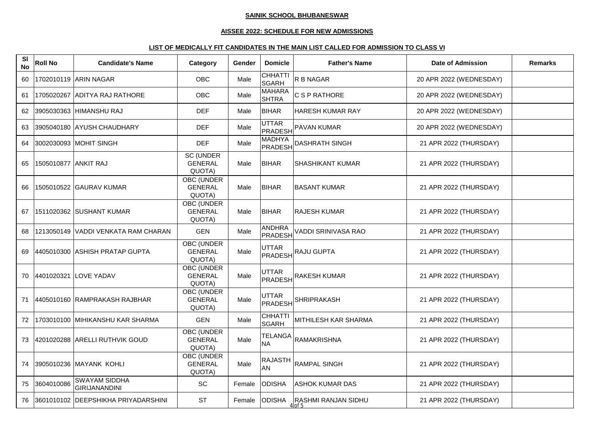# **AISSEE 2022: SCHEDULE FOR NEW ADMISSIONS**

| SI<br><b>No</b> | <b>Roll No</b>       | <b>Candidate's Name</b>                      | Category                                      | Gender | <b>Domicle</b>                | <b>Father's Name</b>          | <b>Date of Admission</b> | <b>Remarks</b> |
|-----------------|----------------------|----------------------------------------------|-----------------------------------------------|--------|-------------------------------|-------------------------------|--------------------------|----------------|
| 60              |                      | 1702010119 ARIN NAGAR                        | <b>OBC</b>                                    | Male   | CHHATTI<br>SGARH              | R B NAGAR                     | 20 APR 2022 (WEDNESDAY)  |                |
| 61              |                      | 1705020267 ADITYA RAJ RATHORE                | <b>OBC</b>                                    | Male   | <b>MAHARA</b><br><b>SHTRA</b> | C S P RATHORE                 | 20 APR 2022 (WEDNESDAY)  |                |
| 62              |                      | 3905030363 HIMANSHU RAJ                      | <b>DEF</b>                                    | Male   | <b>BIHAR</b>                  | HARESH KUMAR RAY              | 20 APR 2022 (WEDNESDAY)  |                |
| 63              |                      | 3905040180 AYUSH CHAUDHARY                   | <b>DEF</b>                                    | Male   | UTTAR<br>PRADESH              | <b>PAVAN KUMAR</b>            | 20 APR 2022 (WEDNESDAY)  |                |
| 64              |                      | 3002030093 MOHIT SINGH                       | <b>DEF</b>                                    | Male   | MADHYA<br><b>PRADESH</b>      | <b>DASHRATH SINGH</b>         | 21 APR 2022 (THURSDAY)   |                |
| 65              | 1505010877 ANKIT RAJ |                                              | SC (UNDER<br><b>GENERAL</b><br>QUOTA)         | Male   | <b>BIHAR</b>                  | <b>SHASHIKANT KUMAR</b>       | 21 APR 2022 (THURSDAY)   |                |
| 66              |                      | 1505010522 GAURAV KUMAR                      | OBC (UNDER<br><b>GENERAL</b><br>QUOTA)        | Male   | <b>BIHAR</b>                  | <b>BASANT KUMAR</b>           | 21 APR 2022 (THURSDAY)   |                |
| 67              |                      | 1511020362 SUSHANT KUMAR                     | OBC (UNDER<br><b>GENERAL</b><br>QUOTA)        | Male   | <b>BIHAR</b>                  | <b>RAJESH KUMAR</b>           | 21 APR 2022 (THURSDAY)   |                |
| 68              |                      | 1213050149 VADDI VENKATA RAM CHARAN          | <b>GEN</b>                                    | Male   | ANDHRA<br>PRADESH             | VADDI SRINIVASA RAO           | 21 APR 2022 (THURSDAY)   |                |
| 69              |                      | 4405010300 ASHISH PRATAP GUPTA               | <b>OBC (UNDER</b><br><b>GENERAL</b><br>QUOTA) | Male   | <b>UTTAR</b><br>PRADESH       | <b>RAJU GUPTA</b>             | 21 APR 2022 (THURSDAY)   |                |
|                 |                      | 70 4401020321 LOVE YADAV                     | OBC (UNDER<br><b>GENERAL</b><br>QUOTA)        | Male   | UTTAR<br>PRADESH              | RAKESH KUMAR                  | 21 APR 2022 (THURSDAY)   |                |
| 71              |                      | 14405010160 RAMPRAKASH RAJBHAR               | OBC (UNDER<br><b>GENERAL</b><br>QUOTA)        | Male   | <b>UTTAR</b><br>PRADESH       | <b>SHRIPRAKASH</b>            | 21 APR 2022 (THURSDAY)   |                |
| 72              |                      | 1703010100 MIHIKANSHU KAR SHARMA             | <b>GEN</b>                                    | Male   | <b>CHHATTI</b><br>SGARH       | MITHILESH KAR SHARMA          | 21 APR 2022 (THURSDAY)   |                |
| 73              |                      | 4201020288 ARELLI RUTHVIK GOUD               | OBC (UNDER<br><b>GENERAL</b><br>QUOTA)        | Male   | <b>TELANGA</b><br><b>NA</b>   | <b>RAMAKRISHNA</b>            | 21 APR 2022 (THURSDAY)   |                |
| 74              |                      | 3905010236 MAYANK KOHLI                      | OBC (UNDER<br><b>GENERAL</b><br>QUOTA)        | Male   | <b>RAJASTH</b><br>AN          | <b>RAMPAL SINGH</b>           | 21 APR 2022 (THURSDAY)   |                |
| 75              | 3604010086           | <b>SWAYAM SIDDHA</b><br><b>GIRIJANANDINI</b> | $\operatorname{\textsf{SC}}$                  | Female | <b>ODISHA</b>                 | <b>ASHOK KUMAR DAS</b>        | 21 APR 2022 (THURSDAY)   |                |
| 76              |                      | 3601010102 DEEPSHIKHA PRIYADARSHINI          | <b>ST</b>                                     | Female | <b>ODISHA</b>                 | RASHMI RANJAN SIDHU<br>4 of 5 | 21 APR 2022 (THURSDAY)   |                |